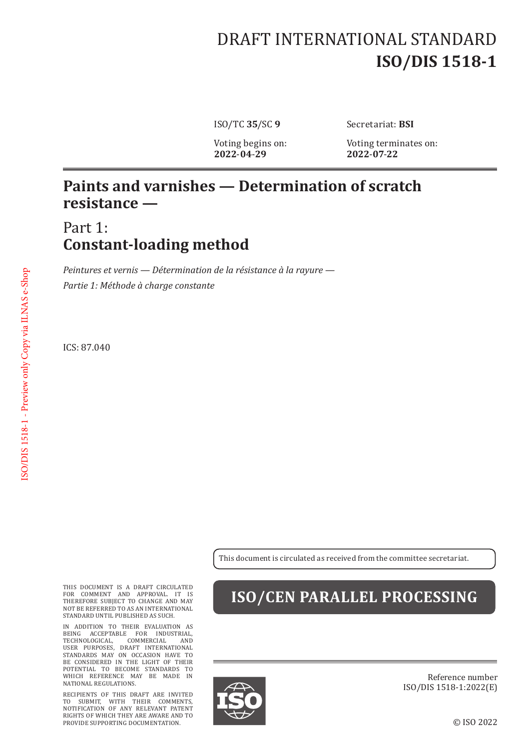# DRAFT INTERNATIONAL STANDARD **ISO/DIS 1518-1**

**2022**-**04**-**29 2022**-**07**-**22**

ISO/TC **35**/SC **9** Secretariat: **BSI**

Voting begins on: Voting terminates on:<br>2022-04-29 2022-07-22

#### **Paints and varnishes — Determination of scratch resistance —**

Part 1: **Constant-loading method**

*Peintures et vernis — Détermination de la résistance à la rayure — Partie 1: Méthode à charge constante*

ICS: 87.040

This document is circulated as received from the committee secretariat.

THIS DOCUMENT IS A DRAFT CIRCULATED FOR COMMENT AND APPROVAL. IT IS THEREFORE SUBJECT TO CHANGE AND MAY NOT BE REFERRED TO AS AN INTERNATIONAL STANDARD UNTIL PUBLISHED AS SUCH.

IN ADDITION TO THEIR EVALUATION AS BEING ACCEPTABLE FOR INDUSTRIAL, TECHNOLOGICAL, COMMERCIAL AND USER PURPOSES, DRAFT INTERNATIONAL STANDARDS MAY ON OCCASION HAVE TO BE CONSIDERED IN THE LIGHT OF THEIR POTENTIAL TO BECOME STANDARDS TO WHICH REFERENCE MAY BE MADE IN NATIONAL REGULATIONS.

RECIPIENTS OF THIS DRAFT ARE INVITED TO SUBMIT, WITH THEIR COMMENTS, NOTIFICATION OF ANY RELEVANT PATENT RIGHTS OF WHICH THEY ARE AWARE AND TO PROVIDE SUPPORTING DOCUMENTATION.

### **ISO/CEN PARALLEL PROCESSING**



Reference number ISO/DIS 1518-1:2022(E)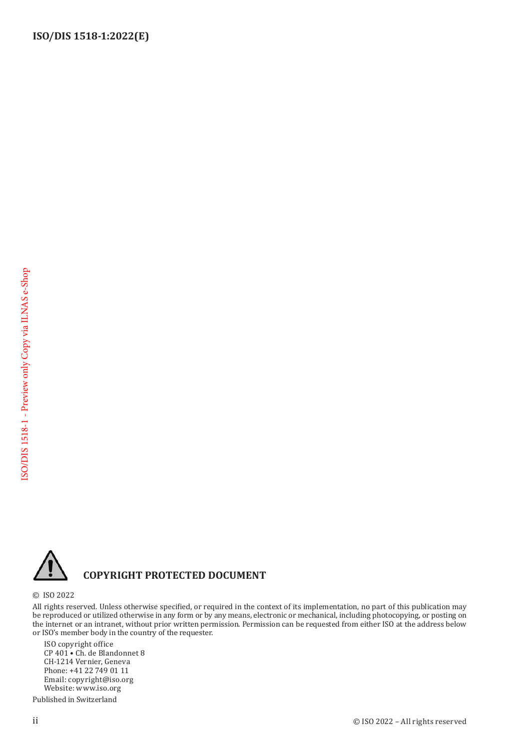

#### **COPYRIGHT PROTECTED DOCUMENT**

© ISO 2022

All rights reserved. Unless otherwise specified, or required in the context of its implementation, no part of this publication may be reproduced or utilized otherwise in any form or by any means, electronic or mechanical, including photocopying, or posting on the internet or an intranet, without prior written permission. Permission can be requested from either ISO at the address below or ISO's member body in the country of the requester.

ISO copyright office CP 401 • Ch. de Blandonnet 8 CH-1214 Vernier, Geneva Phone: +41 22 749 01 11 Email: copyright@iso.org Website: www.iso.org

Published in Switzerland